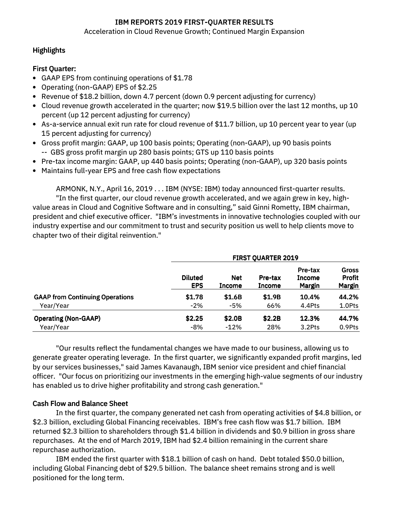## IBM REPORTS 2019 FIRST-QUARTER RESULTS

Acceleration in Cloud Revenue Growth; Continued Margin Expansion

### Highlights

### **First Quarter:**

- GAAP EPS from continuing operations of \$1.78
- Operating (non-GAAP) EPS of \$2.25
- Revenue of \$18.2 billion, down 4.7 percent (down 0.9 percent adjusting for currency)
- Cloud revenue growth accelerated in the quarter; now \$19.5 billion over the last 12 months, up 10 percent (up 12 percent adjusting for currency)
- As-a-service annual exit run rate for cloud revenue of \$11.7 billion, up 10 percent year to year (up 15 percent adjusting for currency)
- Gross profit margin: GAAP, up 100 basis points; Operating (non-GAAP), up 90 basis points -- GBS gross profit margin up 280 basis points; GTS up 110 basis points
- Pre-tax income margin: GAAP, up 440 basis points; Operating (non-GAAP), up 320 basis points
- Maintains full-year EPS and free cash flow expectations

ARMONK, N.Y., April 16, 2019 . . . IBM (NYSE: IBM) today announced first-quarter results. "In the first quarter, our cloud revenue growth accelerated, and we again grew in key, highvalue areas in Cloud and Cognitive Software and in consulting," said Ginni Rometty, IBM chairman, president and chief executive officer. "IBM's investments in innovative technologies coupled with our industry expertise and our commitment to trust and security position us well to help clients move to chapter two of their digital reinvention."

|                                        |                              | <b>FIRST OUARTER 2019</b>   |                          |                             |                                                |  |  |
|----------------------------------------|------------------------------|-----------------------------|--------------------------|-----------------------------|------------------------------------------------|--|--|
|                                        | <b>Diluted</b><br><b>EPS</b> | <b>Net</b><br><b>Income</b> | Pre-tax<br><b>Income</b> | Pre-tax<br>Income<br>Margin | <b>Gross</b><br><b>Profit</b><br><b>Margin</b> |  |  |
| <b>GAAP from Continuing Operations</b> | \$1.78                       | \$1.6B                      | \$1.9B                   | 10.4%                       | 44.2%                                          |  |  |
| Year/Year                              | $-2\%$                       | $-5%$                       | 66%                      | 4.4Pts                      | 1.0Pts                                         |  |  |
| <b>Operating (Non-GAAP)</b>            | \$2.25                       | \$2.0B                      | \$2.2B                   | 12.3%                       | 44.7%                                          |  |  |
| Year/Year                              | $-8%$                        | $-12%$                      | 28%                      | 3.2Pts                      | 0.9Pts                                         |  |  |

"Our results reflect the fundamental changes we have made to our business, allowing us to generate greater operating leverage. In the first quarter, we significantly expanded profit margins, led by our services businesses," said James Kavanaugh, IBM senior vice president and chief financial officer. "Our focus on prioritizing our investments in the emerging high-value segments of our industry has enabled us to drive higher profitability and strong cash generation."

# Cash Flow and Balance Sheet

In the first quarter, the company generated net cash from operating activities of \$4.8 billion, or \$2.3 billion, excluding Global Financing receivables. IBM's free cash flow was \$1.7 billion. IBM returned \$2.3 billion to shareholders through \$1.4 billion in dividends and \$0.9 billion in gross share repurchases. At the end of March 2019, IBM had \$2.4 billion remaining in the current share repurchase authorization.

IBM ended the first quarter with \$18.1 billion of cash on hand. Debt totaled \$50.0 billion, including Global Financing debt of \$29.5 billion. The balance sheet remains strong and is well positioned for the long term.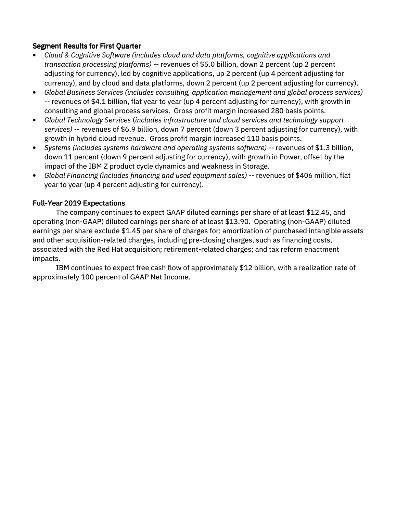# Segment Results for First Quarter

- *Cloud & Cognitive Software (includes cloud and data platforms, cognitive applications and transaction processing platforms) --* revenues of \$5.0 billion, down 2 percent (up 2 percent adjusting for currency), led by cognitive applications, up 2 percent (up 4 percent adjusting for currency), and by cloud and data platforms, down 2 percent (up 2 percent adjusting for currency).
- *Global Business Services (includes consulting, application management and global process services) --* revenues of \$4.1 billion, flat year to year (up 4 percent adjusting for currency), with growth in consulting and global process services. Gross profit margin increased 280 basis points.
- *Global Technology Services* (*includes infrastructure and cloud services and technology support services) --* revenues of \$6.9 billion, down 7 percent (down 3 percent adjusting for currency), with growth in hybrid cloud revenue. Gross profit margin increased 110 basis points.
- *Systems (includes systems hardware and operating systems software) --* revenues of \$1.3 billion, down 11 percent (down 9 percent adjusting for currency), with growth in Power, offset by the impact of the IBM Z product cycle dynamics and weakness in Storage.
- *Global Financing (includes financing and used equipment sales) --* revenues of \$406 million, flat year to year (up 4 percent adjusting for currency).

# Full-Year 2019 Expectations

The company continues to expect GAAP diluted earnings per share of at least \$12.45, and operating (non-GAAP) diluted earnings per share of at least \$13.90. Operating (non-GAAP) diluted earnings per share exclude \$1.45 per share of charges for: amortization of purchased intangible assets and other acquisition-related charges, including pre-closing charges, such as financing costs, associated with the Red Hat acquisition; retirement-related charges; and tax reform enactment impacts.

IBM continues to expect free cash flow of approximately \$12 billion, with a realization rate of approximately 100 percent of GAAP Net Income.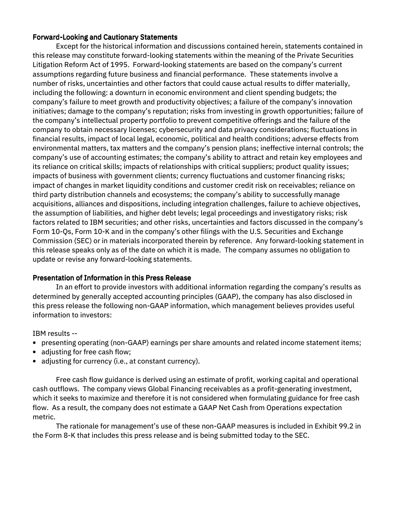### Forward-Looking and Cautionary Statements

Except for the historical information and discussions contained herein, statements contained in this release may constitute forward-looking statements within the meaning of the Private Securities Litigation Reform Act of 1995. Forward-looking statements are based on the company's current assumptions regarding future business and financial performance. These statements involve a number of risks, uncertainties and other factors that could cause actual results to differ materially, including the following: a downturn in economic environment and client spending budgets; the company's failure to meet growth and productivity objectives; a failure of the company's innovation initiatives; damage to the company's reputation; risks from investing in growth opportunities; failure of the company's intellectual property portfolio to prevent competitive offerings and the failure of the company to obtain necessary licenses; cybersecurity and data privacy considerations; fluctuations in financial results, impact of local legal, economic, political and health conditions; adverse effects from environmental matters, tax matters and the company's pension plans; ineffective internal controls; the company's use of accounting estimates; the company's ability to attract and retain key employees and its reliance on critical skills; impacts of relationships with critical suppliers; product quality issues; impacts of business with government clients; currency fluctuations and customer financing risks; impact of changes in market liquidity conditions and customer credit risk on receivables; reliance on third party distribution channels and ecosystems; the company's ability to successfully manage acquisitions, alliances and dispositions, including integration challenges, failure to achieve objectives, the assumption of liabilities, and higher debt levels; legal proceedings and investigatory risks; risk factors related to IBM securities; and other risks, uncertainties and factors discussed in the company's Form 10-Qs, Form 10-K and in the company's other filings with the U.S. Securities and Exchange Commission (SEC) or in materials incorporated therein by reference. Any forward-looking statement in this release speaks only as of the date on which it is made. The company assumes no obligation to update or revise any forward-looking statements.

### Presentation of Information in this Press Release

In an effort to provide investors with additional information regarding the company's results as determined by generally accepted accounting principles (GAAP), the company has also disclosed in this press release the following non-GAAP information, which management believes provides useful information to investors:

### IBM results --

- presenting operating (non-GAAP) earnings per share amounts and related income statement items;
- adjusting for free cash flow;
- adjusting for currency (i.e., at constant currency).

Free cash flow guidance is derived using an estimate of profit, working capital and operational cash outflows. The company views Global Financing receivables as a profit-generating investment, which it seeks to maximize and therefore it is not considered when formulating guidance for free cash flow. As a result, the company does not estimate a GAAP Net Cash from Operations expectation metric.

The rationale for management's use of these non-GAAP measures is included in Exhibit 99.2 in the Form 8-K that includes this press release and is being submitted today to the SEC.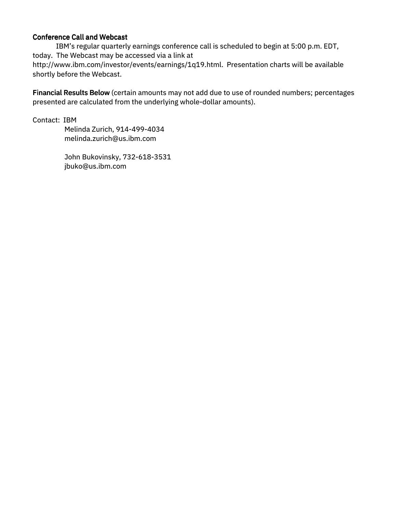## Conference Call and Webcast

IBM's regular quarterly earnings conference call is scheduled to begin at 5:00 p.m. EDT, today. The Webcast may be accessed via a link at http://www.ibm.com/investor/events/earnings/1q19.html. Presentation charts will be available shortly before the Webcast.

Financial Results Below (certain amounts may not add due to use of rounded numbers; percentages presented are calculated from the underlying whole-dollar amounts).

Contact: IBM

 Melinda Zurich, 914-499-4034 melinda.zurich@us.ibm.com

 John Bukovinsky, 732-618-3531 jbuko@us.ibm.com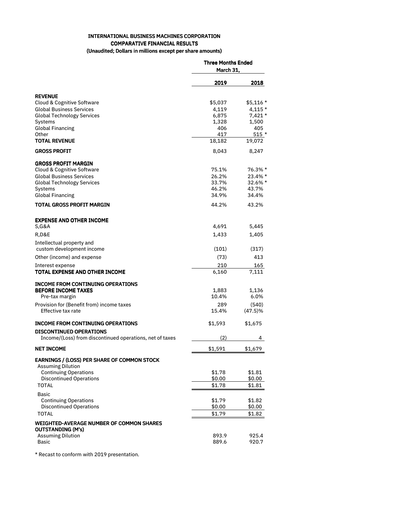#### INTERNATIONAL BUSINESS MACHINES CORPORATION COMPARATIVE FINANCIAL RESULTS (Unaudited; Dollars in millions except per share amounts)

|                                                          | <b>Three Months Ended</b><br>March 31, |            |  |
|----------------------------------------------------------|----------------------------------------|------------|--|
|                                                          | 2019                                   | 2018       |  |
| <b>REVENUE</b>                                           |                                        |            |  |
| Cloud & Cognitive Software                               | \$5,037                                | $$5,116*$  |  |
| <b>Global Business Services</b>                          | 4,119                                  | 4,115 *    |  |
| Global Technology Services                               | 6,875                                  | 7,421 *    |  |
| Systems                                                  | 1,328                                  | 1,500      |  |
| <b>Global Financing</b>                                  | 406                                    | 405        |  |
| Other                                                    | 417                                    | $515 *$    |  |
| <b>TOTAL REVENUE</b>                                     | 18,182                                 | 19,072     |  |
| <b>GROSS PROFIT</b>                                      | 8,043                                  | 8,247      |  |
| <b>GROSS PROFIT MARGIN</b>                               |                                        |            |  |
| Cloud & Cognitive Software                               | 75.1%                                  | 76.3% *    |  |
| <b>Global Business Services</b>                          | 26.2%                                  | $23.4\%$ * |  |
| <b>Global Technology Services</b>                        | 33.7%                                  | $32.6\%$ * |  |
| Systems                                                  | 46.2%                                  | 43.7%      |  |
| <b>Global Financing</b>                                  | 34.9%                                  | 34.4%      |  |
| TOTAL GROSS PROFIT MARGIN                                | 44.2%                                  | 43.2%      |  |
| <b>EXPENSE AND OTHER INCOME</b>                          |                                        |            |  |
| S,G&A                                                    | 4,691                                  | 5,445      |  |
| R,D&E                                                    | 1,433                                  | 1,405      |  |
| Intellectual property and                                |                                        |            |  |
| custom development income                                | (101)                                  | (317)      |  |
| Other (income) and expense                               | (73)                                   | 413        |  |
| Interest expense                                         | 210                                    | 165        |  |
| TOTAL EXPENSE AND OTHER INCOME                           | 6,160                                  | 7,111      |  |
| <b>INCOME FROM CONTINUING OPERATIONS</b>                 |                                        |            |  |
| <b>BEFORE INCOME TAXES</b>                               | 1,883                                  | 1,136      |  |
| Pre-tax margin                                           | 10.4%                                  | 6.0%       |  |
| Provision for (Benefit from) income taxes                | 289                                    | (540)      |  |
| Effective tax rate                                       | 15.4%                                  | $(47.5)\%$ |  |
| <b>INCOME FROM CONTINUING OPERATIONS</b>                 | \$1,593                                | \$1,675    |  |
| <b>DISCONTINUED OPERATIONS</b>                           |                                        |            |  |
| Income/(Loss) from discontinued operations, net of taxes | (2)                                    | 4          |  |
| <b>NET INCOME</b>                                        | \$1,591                                | \$1,679    |  |
| <b>EARNINGS / (LOSS) PER SHARE OF COMMON STOCK</b>       |                                        |            |  |
| <b>Assuming Dilution</b>                                 |                                        |            |  |
| <b>Continuing Operations</b>                             | \$1.78                                 | \$1.81     |  |
| <b>Discontinued Operations</b>                           | \$0.00                                 | \$0.00     |  |
| <b>TOTAL</b>                                             | \$1.78                                 | \$1.81     |  |
| <b>Basic</b>                                             |                                        |            |  |
| <b>Continuing Operations</b>                             | \$1.79                                 | \$1.82     |  |
| <b>Discontinued Operations</b>                           | \$0.00                                 | \$0.00     |  |
| <b>TOTAL</b>                                             | \$1.79                                 | \$1.82     |  |
| <b>WEIGHTED-AVERAGE NUMBER OF COMMON SHARES</b>          |                                        |            |  |
| <b>OUTSTANDING (M's)</b>                                 |                                        |            |  |
| <b>Assuming Dilution</b>                                 | 893.9                                  | 925.4      |  |
| <b>Basic</b>                                             | 889.6                                  | 920.7      |  |

\* Recast to conform with 2019 presentation.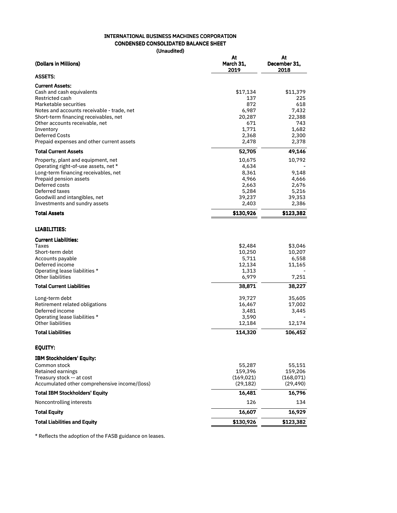#### INTERNATIONAL BUSINESS MACHINES CORPORATION CONDENSED CONSOLIDATED BALANCE SHEET (Unaudited)

| (Dollars in Millions)                               | At<br>March 31,<br>2019 | At<br>December 31,<br>2018 |
|-----------------------------------------------------|-------------------------|----------------------------|
| <b>ASSETS:</b>                                      |                         |                            |
| <b>Current Assets:</b><br>Cash and cash equivalents | \$17,134                | \$11,379                   |
| Restricted cash                                     | 137                     | 225                        |
| Marketable securities                               | 872                     | 618                        |
| Notes and accounts receivable - trade, net          | 6,987                   | 7,432                      |
| Short-term financing receivables, net               | 20,287                  | 22,388                     |
| Other accounts receivable, net                      | 671                     | 743                        |
| Inventory                                           | 1,771                   | 1,682                      |
| <b>Deferred Costs</b>                               | 2,368                   | 2,300                      |
| Prepaid expenses and other current assets           | 2,478                   | 2,378                      |
| <b>Total Current Assets</b>                         | 52,705                  | 49,146                     |
| Property, plant and equipment, net                  | 10,675                  | 10,792                     |
| Operating right-of-use assets, net *                | 4,634                   |                            |
| Long-term financing receivables, net                | 8,361                   | 9,148                      |
| Prepaid pension assets                              | 4,966                   | 4,666                      |
| Deferred costs                                      | 2,663                   | 2,676                      |
| Deferred taxes                                      | 5,284                   | 5,216                      |
| Goodwill and intangibles, net                       | 39,237                  | 39,353                     |
| Investments and sundry assets                       | 2,403                   | 2,386                      |
| <b>Total Assets</b>                                 | \$130,926               | \$123,382                  |
| LIABILITIES:                                        |                         |                            |
| <b>Current Liabilities:</b>                         |                         |                            |
| Taxes                                               | \$2,484                 | \$3,046                    |
| Short-term debt                                     | 10,250                  | 10,207                     |
| Accounts payable                                    | 5,711                   | 6,558                      |
| Deferred income                                     | 12,134                  | 11,165                     |
| Operating lease liabilities *                       | 1,313                   |                            |
| Other liabilities                                   | 6,979                   | 7,251                      |
| <b>Total Current Liabilities</b>                    | 38,871                  | 38,227                     |
| Long-term debt                                      | 39,727                  | 35,605                     |
| Retirement related obligations                      | 16,467                  | 17,002                     |
| Deferred income                                     | 3,481                   | 3,445                      |
| Operating lease liabilities *                       | 3,590                   |                            |
| Other liabilities                                   | 12,184                  | 12,174                     |
| <b>Total Liabilities</b>                            | 114,320                 | 106,452                    |
| <b>EQUITY:</b>                                      |                         |                            |
| <b>IBM Stockholders' Equity:</b>                    |                         |                            |
| Common stock                                        | 55,287                  | 55,151                     |
| Retained earnings                                   | 159,396                 | 159,206                    |
| Treasury stock -- at cost                           | (169, 021)              | (168,071)                  |
| Accumulated other comprehensive income/(loss)       | (29, 182)               | (29, 490)                  |
| <b>Total IBM Stockholders' Equity</b>               | 16,481                  | 16,796                     |
| Noncontrolling interests                            | 126                     | 134                        |
| <b>Total Equity</b>                                 | 16,607                  | 16,929                     |
| <b>Total Liabilities and Equity</b>                 | \$130,926               | \$123,382                  |

\* Reflects the adoption of the FASB guidance on leases.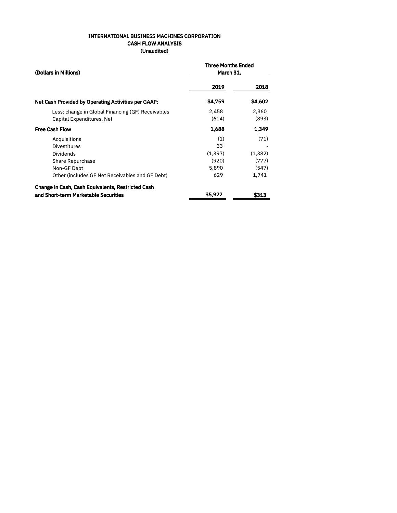#### INTERNATIONAL BUSINESS MACHINES CORPORATION CASH FLOW ANALYSIS (Unaudited)

| (Dollars in Millions)                                                                                                                         | <b>Three Months Ended</b><br>March 31,         |                                             |  |
|-----------------------------------------------------------------------------------------------------------------------------------------------|------------------------------------------------|---------------------------------------------|--|
|                                                                                                                                               | 2019                                           | 2018                                        |  |
| Net Cash Provided by Operating Activities per GAAP:                                                                                           | \$4,759                                        | \$4,602                                     |  |
| Less: change in Global Financing (GF) Receivables<br>Capital Expenditures, Net                                                                | 2,458<br>(614)                                 | 2,360<br>(893)                              |  |
| <b>Free Cash Flow</b>                                                                                                                         | 1,688                                          | 1,349                                       |  |
| Acquisitions<br><b>Divestitures</b><br><b>Dividends</b><br>Share Repurchase<br>Non-GF Debt<br>Other (includes GF Net Receivables and GF Debt) | (1)<br>33<br>(1, 397)<br>(920)<br>5,890<br>629 | (71)<br>(1, 382)<br>(777)<br>(547)<br>1.741 |  |
| Change in Cash, Cash Equivalents, Restricted Cash<br>and Short-term Marketable Securities                                                     | \$5.922                                        | \$313                                       |  |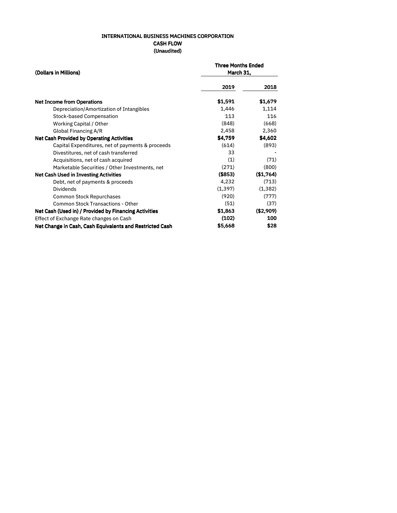#### INTERNATIONAL BUSINESS MACHINES CORPORATION **CASH FLOW** (Unaudited)

|                                                          | <b>Three Months Ended</b> |           |  |  |
|----------------------------------------------------------|---------------------------|-----------|--|--|
| (Dollars in Millions)                                    | March 31,                 |           |  |  |
|                                                          | 2019                      | 2018      |  |  |
| <b>Net Income from Operations</b>                        | \$1,591                   | \$1,679   |  |  |
| Depreciation/Amortization of Intangibles                 | 1,446                     | 1,114     |  |  |
| <b>Stock-based Compensation</b>                          | 113                       | 116       |  |  |
| Working Capital / Other                                  | (848)                     | (668)     |  |  |
| Global Financing A/R                                     | 2,458                     | 2,360     |  |  |
| <b>Net Cash Provided by Operating Activities</b>         | \$4,759                   | \$4,602   |  |  |
| Capital Expenditures, net of payments & proceeds         | (614)                     | (893)     |  |  |
| Divestitures, net of cash transferred                    | 33                        |           |  |  |
| Acquisitions, net of cash acquired                       | (1)                       | (71)      |  |  |
| Marketable Securities / Other Investments, net           | (271)                     | (800)     |  |  |
| <b>Net Cash Used in Investing Activities</b>             | $($ \$853)                | (\$1,764) |  |  |
| Debt, net of payments & proceeds                         | 4,232                     | (713)     |  |  |
| Dividends                                                | (1, 397)                  | (1, 382)  |  |  |
| <b>Common Stock Repurchases</b>                          | (920)                     | (777)     |  |  |
| <b>Common Stock Transactions - Other</b>                 | (51)                      | (37)      |  |  |
| Net Cash (Used in) / Provided by Financing Activities    | \$1,863                   | (\$2,909) |  |  |
| Effect of Exchange Rate changes on Cash                  | (102)                     | 100       |  |  |
| Net Change in Cash, Cash Equivalents and Restricted Cash | \$5,668                   | \$28      |  |  |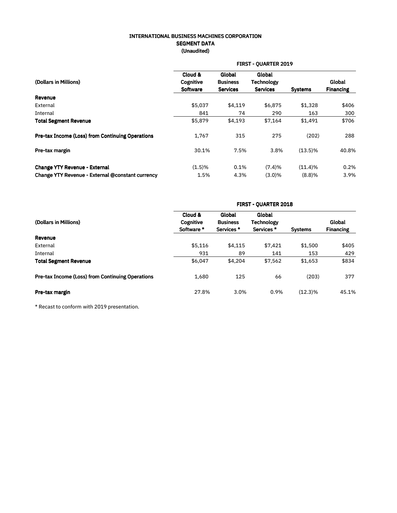#### INTERNATIONAL BUSINESS MACHINES CORPORATION SEGMENT DATA (Unaudited)

|                                                         | <b>FIRST - QUARTER 2019</b>             |                                              |                                         |                |                            |
|---------------------------------------------------------|-----------------------------------------|----------------------------------------------|-----------------------------------------|----------------|----------------------------|
| (Dollars in Millions)                                   | Cloud &<br>Cognitive<br><b>Software</b> | Global<br><b>Business</b><br><b>Services</b> | Global<br>Technology<br><b>Services</b> | <b>Systems</b> | Global<br><b>Financing</b> |
| Revenue                                                 |                                         |                                              |                                         |                |                            |
| External                                                | \$5,037                                 | \$4,119                                      | \$6,875                                 | \$1,328        | \$406                      |
| Internal                                                | 841                                     | 74                                           | 290                                     | 163            | 300                        |
| <b>Total Segment Revenue</b>                            | \$5,879                                 | \$4,193                                      | \$7,164                                 | \$1,491        | \$706                      |
| <b>Pre-tax Income (Loss) from Continuing Operations</b> | 1,767                                   | 315                                          | 275                                     | (202)          | 288                        |
| Pre-tax margin                                          | 30.1%                                   | 7.5%                                         | 3.8%                                    | $(13.5)\%$     | 40.8%                      |
| <b>Change YTY Revenue - External</b>                    | (1.5)%                                  | 0.1%                                         | (7.4)%                                  | (11.4)%        | 0.2%                       |
| Change YTY Revenue - External @constant currency        | 1.5%                                    | 4.3%                                         | $(3.0)\%$                               | (8.8)%         | 3.9%                       |

|                                                  | <b>FIRST - OUARTER 2018</b>               |                                         |                                    |                |                            |  |
|--------------------------------------------------|-------------------------------------------|-----------------------------------------|------------------------------------|----------------|----------------------------|--|
| (Dollars in Millions)                            | Cloud &<br><b>Cognitive</b><br>Software * | Global<br><b>Business</b><br>Services * | Global<br>Technology<br>Services * | <b>Systems</b> | Global<br><b>Financing</b> |  |
| Revenue                                          |                                           |                                         |                                    |                |                            |  |
| External                                         | \$5,116                                   | \$4.115                                 | \$7,421                            | \$1,500        | \$405                      |  |
| Internal                                         | 931                                       | 89                                      | 141                                | 153            | 429                        |  |
| <b>Total Segment Revenue</b>                     | \$6.047                                   | \$4.204                                 | \$7,562                            | \$1,653        | \$834                      |  |
| Pre-tax Income (Loss) from Continuing Operations | 1,680                                     | 125                                     | 66                                 | (203)          | 377                        |  |
| Pre-tax margin                                   | 27.8%                                     | 3.0%                                    | 0.9%                               | $(12.3)\%$     | 45.1%                      |  |

\* Recast to conform with 2019 presentation.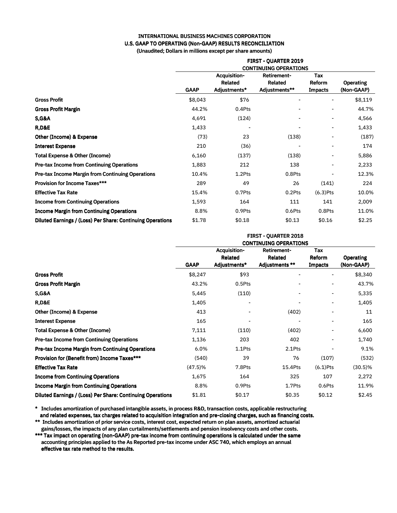#### INTERNATIONAL BUSINESS MACHINES CORPORATION U.S. GAAP TO OPERATING (Non-GAAP) RESULTS RECONCILIATION (Unaudited; Dollars in millions except per share amounts)

|                                                            | <b>FIRST - QUARTER 2019</b><br><b>CONTINUING OPERATIONS</b> |                                                       |                                                       |                                 |                                |
|------------------------------------------------------------|-------------------------------------------------------------|-------------------------------------------------------|-------------------------------------------------------|---------------------------------|--------------------------------|
|                                                            | <b>GAAP</b>                                                 | <b>Acquisition-</b><br><b>Related</b><br>Adjustments* | <b>Retirement-</b><br><b>Related</b><br>Adjustments** | Tax<br>Reform<br><b>Impacts</b> | <b>Operating</b><br>(Non-GAAP) |
| <b>Gross Profit</b>                                        | \$8,043                                                     | \$76                                                  |                                                       |                                 | \$8,119                        |
| <b>Gross Profit Margin</b>                                 | 44.2%                                                       | 0.4Pts                                                |                                                       | $\overline{\phantom{a}}$        | 44.7%                          |
| <b>S,G&amp;A</b>                                           | 4,691                                                       | (124)                                                 |                                                       | $\overline{\phantom{a}}$        | 4,566                          |
| <b>R.D&amp;E</b>                                           | 1,433                                                       |                                                       |                                                       | ٠                               | 1,433                          |
| Other (Income) & Expense                                   | (73)                                                        | 23                                                    | (138)                                                 | ۰                               | (187)                          |
| <b>Interest Expense</b>                                    | 210                                                         | (36)                                                  |                                                       | $\overline{\phantom{a}}$        | 174                            |
| Total Expense & Other (Income)                             | 6,160                                                       | (137)                                                 | (138)                                                 |                                 | 5,886                          |
| <b>Pre-tax Income from Continuing Operations</b>           | 1,883                                                       | 212                                                   | 138                                                   |                                 | 2,233                          |
| <b>Pre-tax Income Margin from Continuing Operations</b>    | 10.4%                                                       | 1.2Pts                                                | 0.8Pts                                                |                                 | 12.3%                          |
| <b>Provision for Income Taxes***</b>                       | 289                                                         | 49                                                    | 26                                                    | (141)                           | 224                            |
| <b>Effective Tax Rate</b>                                  | 15.4%                                                       | 0.7Pts                                                | 0.2Pts                                                | $(6.3)$ Pts                     | 10.0%                          |
| <b>Income from Continuing Operations</b>                   | 1,593                                                       | 164                                                   | 111                                                   | 141                             | 2,009                          |
| <b>Income Margin from Continuing Operations</b>            | 8.8%                                                        | 0.9Pts                                                | 0.6Pts                                                | 0.8Pts                          | 11.0%                          |
| Diluted Earnings / (Loss) Per Share: Continuing Operations | \$1.78                                                      | \$0.18                                                | \$0.13                                                | \$0.16                          | \$2.25                         |

|                                                            | <b>CONTINUING OPERATIONS</b> |                                                |                                                 |                                 |                         |
|------------------------------------------------------------|------------------------------|------------------------------------------------|-------------------------------------------------|---------------------------------|-------------------------|
|                                                            | <b>GAAP</b>                  | <b>Acquisition-</b><br>Related<br>Adjustments* | Retirement-<br><b>Related</b><br>Adjustments ** | Tax<br>Reform<br><b>Impacts</b> | Operating<br>(Non-GAAP) |
| <b>Gross Profit</b>                                        | \$8,247                      | \$93                                           |                                                 |                                 | \$8,340                 |
| <b>Gross Profit Margin</b>                                 | 43.2%                        | 0.5Pts                                         |                                                 |                                 | 43.7%                   |
| <b>S.G&amp;A</b>                                           | 5,445                        | (110)                                          |                                                 |                                 | 5,335                   |
| <b>R,D&amp;E</b>                                           | 1,405                        |                                                |                                                 |                                 | 1,405                   |
| Other (Income) & Expense                                   | 413                          |                                                | (402)                                           | $\blacksquare$                  | 11                      |
| <b>Interest Expense</b>                                    | 165                          |                                                |                                                 | $\overline{\phantom{a}}$        | 165                     |
| Total Expense & Other (Income)                             | 7,111                        | (110)                                          | (402)                                           | $\blacksquare$                  | 6,600                   |
| <b>Pre-tax Income from Continuing Operations</b>           | 1,136                        | 203                                            | 402                                             | $\blacksquare$                  | 1,740                   |
| <b>Pre-tax Income Margin from Continuing Operations</b>    | 6.0%                         | 1.1Pts                                         | 2.1Pts                                          |                                 | 9.1%                    |
| Provision for (Benefit from) Income Taxes***               | (540)                        | 39                                             | 76                                              | (107)                           | (532)                   |
| <b>Effective Tax Rate</b>                                  | $(47.5)\%$                   | 7.8Pts                                         | 15.4Pts                                         | $(6.1)$ Pts                     | $(30.5)\%$              |
| <b>Income from Continuing Operations</b>                   | 1,675                        | 164                                            | 325                                             | 107                             | 2,272                   |
| <b>Income Margin from Continuing Operations</b>            | 8.8%                         | 0.9Pts                                         | 1.7Pts                                          | 0.6Pts                          | 11.9%                   |
| Diluted Earnings / (Loss) Per Share: Continuing Operations | \$1.81                       | \$0.17                                         | \$0.35                                          | \$0.12                          | \$2.45                  |

FIRST - QUARTER 2018

 \* Includes amortization of purchased intangible assets, in process R&D, transaction costs, applicable restructuring and related expenses, tax charges related to acquisition integration and pre-closing charges, such as financing costs.

\*\* Includes amortization of prior service costs, interest cost, expected return on plan assets, amortized actuarial gains/losses, the impacts of any plan curtailments/settlements and pension insolvency costs and other costs.

\*\*\* Tax impact on operating (non-GAAP) pre-tax income from continuing operations is calculated under the same accounting principles applied to the As Reported pre-tax income under ASC 740, which employs an annual effective tax rate method to the results.